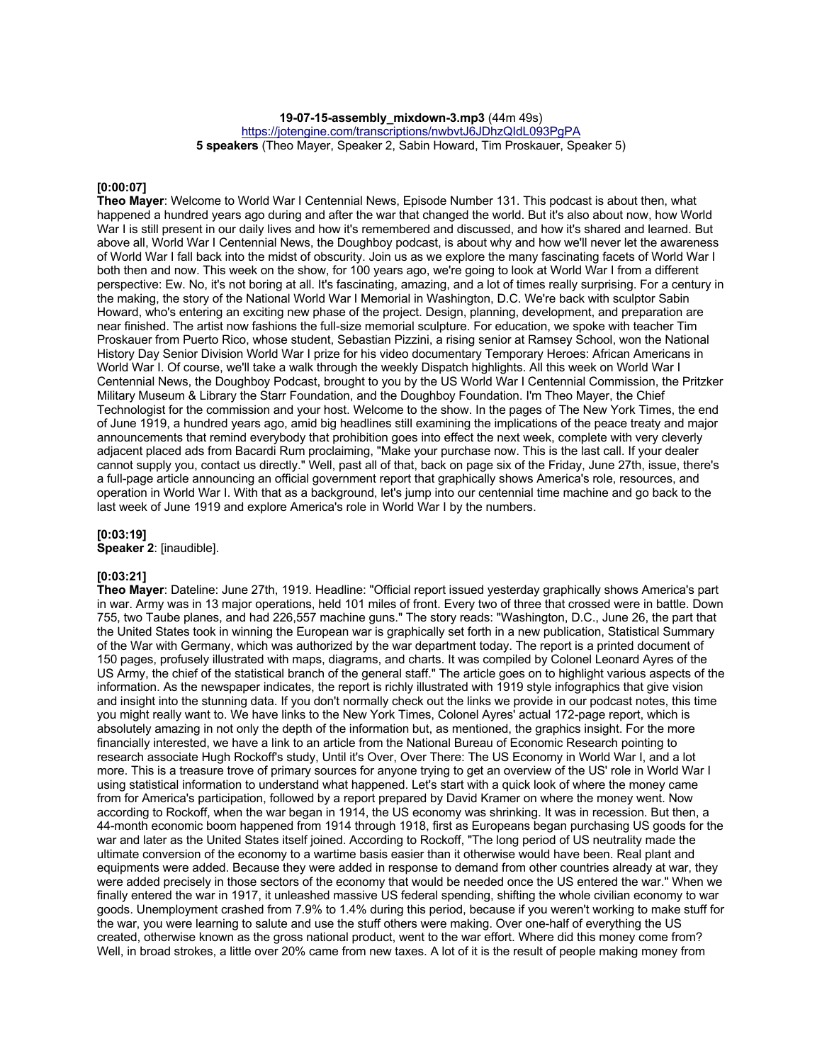**19-07-15-assembly\_mixdown-3.mp3** (44m 49s)

https://jotengine.com/transcriptions/nwbvtJ6JDhzQIdL093PgPA

**5 speakers** (Theo Mayer, Speaker 2, Sabin Howard, Tim Proskauer, Speaker 5)

#### **[0:00:07]**

**Theo Mayer**: Welcome to World War I Centennial News, Episode Number 131. This podcast is about then, what happened a hundred years ago during and after the war that changed the world. But it's also about now, how World War I is still present in our daily lives and how it's remembered and discussed, and how it's shared and learned. But above all, World War I Centennial News, the Doughboy podcast, is about why and how we'll never let the awareness of World War I fall back into the midst of obscurity. Join us as we explore the many fascinating facets of World War I both then and now. This week on the show, for 100 years ago, we're going to look at World War I from a different perspective: Ew. No, it's not boring at all. It's fascinating, amazing, and a lot of times really surprising. For a century in the making, the story of the National World War I Memorial in Washington, D.C. We're back with sculptor Sabin Howard, who's entering an exciting new phase of the project. Design, planning, development, and preparation are near finished. The artist now fashions the full-size memorial sculpture. For education, we spoke with teacher Tim Proskauer from Puerto Rico, whose student, Sebastian Pizzini, a rising senior at Ramsey School, won the National History Day Senior Division World War I prize for his video documentary Temporary Heroes: African Americans in World War I. Of course, we'll take a walk through the weekly Dispatch highlights. All this week on World War I Centennial News, the Doughboy Podcast, brought to you by the US World War I Centennial Commission, the Pritzker Military Museum & Library the Starr Foundation, and the Doughboy Foundation. I'm Theo Mayer, the Chief Technologist for the commission and your host. Welcome to the show. In the pages of The New York Times, the end of June 1919, a hundred years ago, amid big headlines still examining the implications of the peace treaty and major announcements that remind everybody that prohibition goes into effect the next week, complete with very cleverly adjacent placed ads from Bacardi Rum proclaiming, "Make your purchase now. This is the last call. If your dealer cannot supply you, contact us directly." Well, past all of that, back on page six of the Friday, June 27th, issue, there's a full-page article announcing an official government report that graphically shows America's role, resources, and operation in World War I. With that as a background, let's jump into our centennial time machine and go back to the last week of June 1919 and explore America's role in World War I by the numbers.

#### **[0:03:19]**

**Speaker 2**: [inaudible].

### **[0:03:21]**

**Theo Mayer**: Dateline: June 27th, 1919. Headline: "Official report issued yesterday graphically shows America's part in war. Army was in 13 major operations, held 101 miles of front. Every two of three that crossed were in battle. Down 755, two Taube planes, and had 226,557 machine guns." The story reads: "Washington, D.C., June 26, the part that the United States took in winning the European war is graphically set forth in a new publication, Statistical Summary of the War with Germany, which was authorized by the war department today. The report is a printed document of 150 pages, profusely illustrated with maps, diagrams, and charts. It was compiled by Colonel Leonard Ayres of the US Army, the chief of the statistical branch of the general staff." The article goes on to highlight various aspects of the information. As the newspaper indicates, the report is richly illustrated with 1919 style infographics that give vision and insight into the stunning data. If you don't normally check out the links we provide in our podcast notes, this time you might really want to. We have links to the New York Times, Colonel Ayres' actual 172-page report, which is absolutely amazing in not only the depth of the information but, as mentioned, the graphics insight. For the more financially interested, we have a link to an article from the National Bureau of Economic Research pointing to research associate Hugh Rockoff's study, Until it's Over, Over There: The US Economy in World War I, and a lot more. This is a treasure trove of primary sources for anyone trying to get an overview of the US' role in World War I using statistical information to understand what happened. Let's start with a quick look of where the money came from for America's participation, followed by a report prepared by David Kramer on where the money went. Now according to Rockoff, when the war began in 1914, the US economy was shrinking. It was in recession. But then, a 44-month economic boom happened from 1914 through 1918, first as Europeans began purchasing US goods for the war and later as the United States itself joined. According to Rockoff, "The long period of US neutrality made the ultimate conversion of the economy to a wartime basis easier than it otherwise would have been. Real plant and equipments were added. Because they were added in response to demand from other countries already at war, they were added precisely in those sectors of the economy that would be needed once the US entered the war." When we finally entered the war in 1917, it unleashed massive US federal spending, shifting the whole civilian economy to war goods. Unemployment crashed from 7.9% to 1.4% during this period, because if you weren't working to make stuff for the war, you were learning to salute and use the stuff others were making. Over one-half of everything the US created, otherwise known as the gross national product, went to the war effort. Where did this money come from? Well, in broad strokes, a little over 20% came from new taxes. A lot of it is the result of people making money from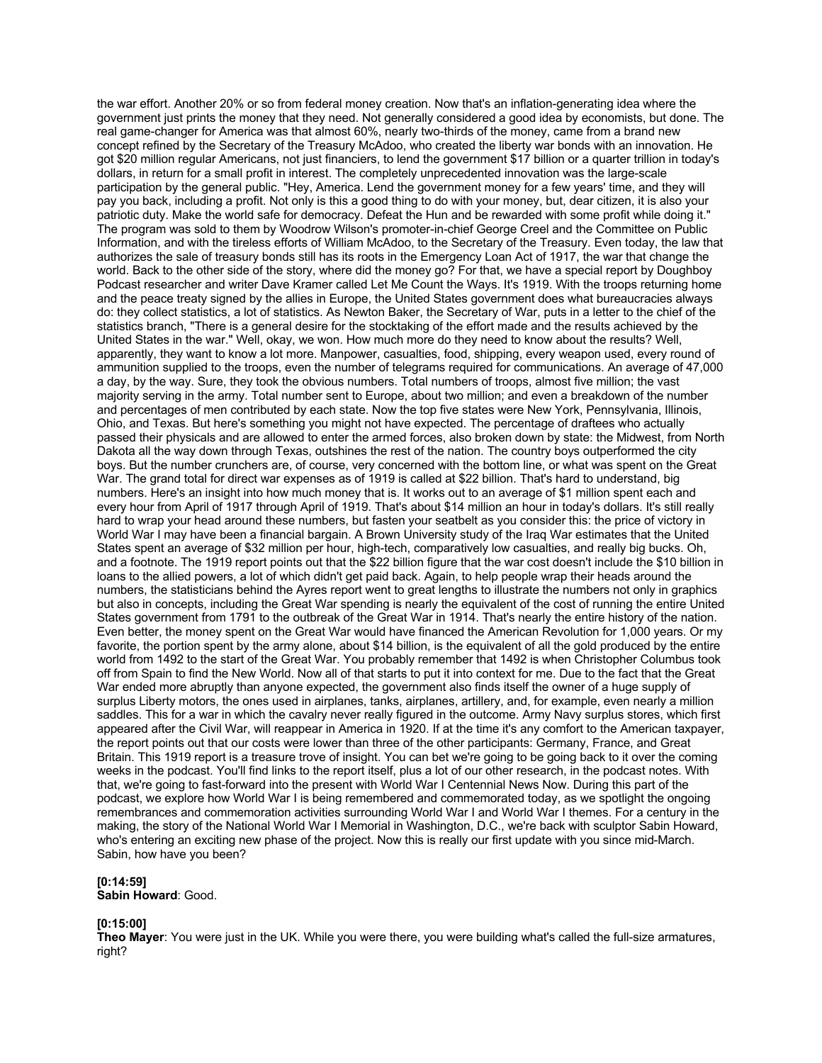the war effort. Another 20% or so from federal money creation. Now that's an inflation-generating idea where the government just prints the money that they need. Not generally considered a good idea by economists, but done. The real game-changer for America was that almost 60%, nearly two-thirds of the money, came from a brand new concept refined by the Secretary of the Treasury McAdoo, who created the liberty war bonds with an innovation. He got \$20 million regular Americans, not just financiers, to lend the government \$17 billion or a quarter trillion in today's dollars, in return for a small profit in interest. The completely unprecedented innovation was the large-scale participation by the general public. "Hey, America. Lend the government money for a few years' time, and they will pay you back, including a profit. Not only is this a good thing to do with your money, but, dear citizen, it is also your patriotic duty. Make the world safe for democracy. Defeat the Hun and be rewarded with some profit while doing it." The program was sold to them by Woodrow Wilson's promoter-in-chief George Creel and the Committee on Public Information, and with the tireless efforts of William McAdoo, to the Secretary of the Treasury. Even today, the law that authorizes the sale of treasury bonds still has its roots in the Emergency Loan Act of 1917, the war that change the world. Back to the other side of the story, where did the money go? For that, we have a special report by Doughboy Podcast researcher and writer Dave Kramer called Let Me Count the Ways. It's 1919. With the troops returning home and the peace treaty signed by the allies in Europe, the United States government does what bureaucracies always do: they collect statistics, a lot of statistics. As Newton Baker, the Secretary of War, puts in a letter to the chief of the statistics branch, "There is a general desire for the stocktaking of the effort made and the results achieved by the United States in the war." Well, okay, we won. How much more do they need to know about the results? Well, apparently, they want to know a lot more. Manpower, casualties, food, shipping, every weapon used, every round of ammunition supplied to the troops, even the number of telegrams required for communications. An average of 47,000 a day, by the way. Sure, they took the obvious numbers. Total numbers of troops, almost five million; the vast majority serving in the army. Total number sent to Europe, about two million; and even a breakdown of the number and percentages of men contributed by each state. Now the top five states were New York, Pennsylvania, Illinois, Ohio, and Texas. But here's something you might not have expected. The percentage of draftees who actually passed their physicals and are allowed to enter the armed forces, also broken down by state: the Midwest, from North Dakota all the way down through Texas, outshines the rest of the nation. The country boys outperformed the city boys. But the number crunchers are, of course, very concerned with the bottom line, or what was spent on the Great War. The grand total for direct war expenses as of 1919 is called at \$22 billion. That's hard to understand, big numbers. Here's an insight into how much money that is. It works out to an average of \$1 million spent each and every hour from April of 1917 through April of 1919. That's about \$14 million an hour in today's dollars. It's still really hard to wrap your head around these numbers, but fasten your seatbelt as you consider this: the price of victory in World War I may have been a financial bargain. A Brown University study of the Iraq War estimates that the United States spent an average of \$32 million per hour, high-tech, comparatively low casualties, and really big bucks. Oh, and a footnote. The 1919 report points out that the \$22 billion figure that the war cost doesn't include the \$10 billion in loans to the allied powers, a lot of which didn't get paid back. Again, to help people wrap their heads around the numbers, the statisticians behind the Ayres report went to great lengths to illustrate the numbers not only in graphics but also in concepts, including the Great War spending is nearly the equivalent of the cost of running the entire United States government from 1791 to the outbreak of the Great War in 1914. That's nearly the entire history of the nation. Even better, the money spent on the Great War would have financed the American Revolution for 1,000 years. Or my favorite, the portion spent by the army alone, about \$14 billion, is the equivalent of all the gold produced by the entire world from 1492 to the start of the Great War. You probably remember that 1492 is when Christopher Columbus took off from Spain to find the New World. Now all of that starts to put it into context for me. Due to the fact that the Great War ended more abruptly than anyone expected, the government also finds itself the owner of a huge supply of surplus Liberty motors, the ones used in airplanes, tanks, airplanes, artillery, and, for example, even nearly a million saddles. This for a war in which the cavalry never really figured in the outcome. Army Navy surplus stores, which first appeared after the Civil War, will reappear in America in 1920. If at the time it's any comfort to the American taxpayer, the report points out that our costs were lower than three of the other participants: Germany, France, and Great Britain. This 1919 report is a treasure trove of insight. You can bet we're going to be going back to it over the coming weeks in the podcast. You'll find links to the report itself, plus a lot of our other research, in the podcast notes. With that, we're going to fast-forward into the present with World War I Centennial News Now. During this part of the podcast, we explore how World War I is being remembered and commemorated today, as we spotlight the ongoing remembrances and commemoration activities surrounding World War I and World War I themes. For a century in the making, the story of the National World War I Memorial in Washington, D.C., we're back with sculptor Sabin Howard, who's entering an exciting new phase of the project. Now this is really our first update with you since mid-March. Sabin, how have you been?

# **[0:14:59]**

**Sabin Howard**: Good.

### **[0:15:00]**

**Theo Mayer**: You were just in the UK. While you were there, you were building what's called the full-size armatures, right?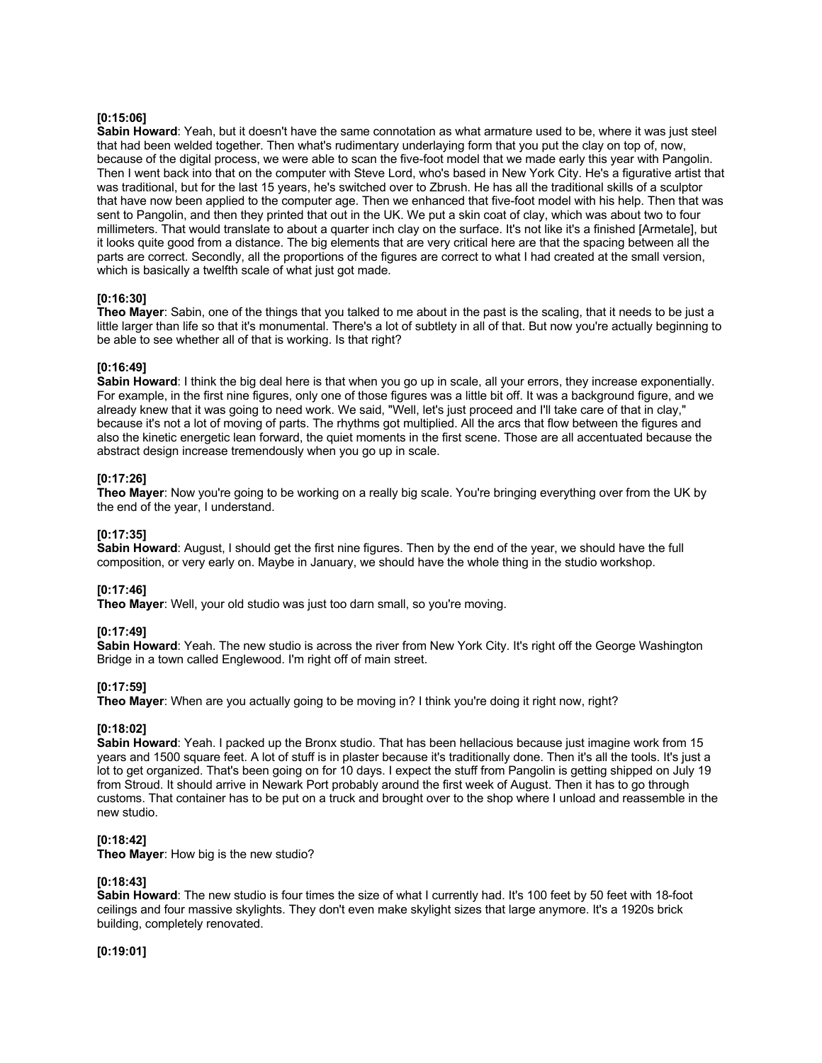# **[0:15:06]**

**Sabin Howard**: Yeah, but it doesn't have the same connotation as what armature used to be, where it was just steel that had been welded together. Then what's rudimentary underlaying form that you put the clay on top of, now, because of the digital process, we were able to scan the five-foot model that we made early this year with Pangolin. Then I went back into that on the computer with Steve Lord, who's based in New York City. He's a figurative artist that was traditional, but for the last 15 years, he's switched over to Zbrush. He has all the traditional skills of a sculptor that have now been applied to the computer age. Then we enhanced that five-foot model with his help. Then that was sent to Pangolin, and then they printed that out in the UK. We put a skin coat of clay, which was about two to four millimeters. That would translate to about a quarter inch clay on the surface. It's not like it's a finished [Armetale], but it looks quite good from a distance. The big elements that are very critical here are that the spacing between all the parts are correct. Secondly, all the proportions of the figures are correct to what I had created at the small version, which is basically a twelfth scale of what just got made.

# **[0:16:30]**

**Theo Mayer**: Sabin, one of the things that you talked to me about in the past is the scaling, that it needs to be just a little larger than life so that it's monumental. There's a lot of subtlety in all of that. But now you're actually beginning to be able to see whether all of that is working. Is that right?

### **[0:16:49]**

**Sabin Howard:** I think the big deal here is that when you go up in scale, all your errors, they increase exponentially. For example, in the first nine figures, only one of those figures was a little bit off. It was a background figure, and we already knew that it was going to need work. We said, "Well, let's just proceed and I'll take care of that in clay," because it's not a lot of moving of parts. The rhythms got multiplied. All the arcs that flow between the figures and also the kinetic energetic lean forward, the quiet moments in the first scene. Those are all accentuated because the abstract design increase tremendously when you go up in scale.

## **[0:17:26]**

**Theo Mayer**: Now you're going to be working on a really big scale. You're bringing everything over from the UK by the end of the year, I understand.

### **[0:17:35]**

**Sabin Howard**: August, I should get the first nine figures. Then by the end of the year, we should have the full composition, or very early on. Maybe in January, we should have the whole thing in the studio workshop.

### **[0:17:46]**

**Theo Mayer**: Well, your old studio was just too darn small, so you're moving.

### **[0:17:49]**

**Sabin Howard**: Yeah. The new studio is across the river from New York City. It's right off the George Washington Bridge in a town called Englewood. I'm right off of main street.

# **[0:17:59]**

**Theo Mayer**: When are you actually going to be moving in? I think you're doing it right now, right?

### **[0:18:02]**

**Sabin Howard:** Yeah. I packed up the Bronx studio. That has been hellacious because just imagine work from 15 years and 1500 square feet. A lot of stuff is in plaster because it's traditionally done. Then it's all the tools. It's just a lot to get organized. That's been going on for 10 days. I expect the stuff from Pangolin is getting shipped on July 19 from Stroud. It should arrive in Newark Port probably around the first week of August. Then it has to go through customs. That container has to be put on a truck and brought over to the shop where I unload and reassemble in the new studio.

### **[0:18:42]**

**Theo Mayer**: How big is the new studio?

### **[0:18:43]**

**Sabin Howard**: The new studio is four times the size of what I currently had. It's 100 feet by 50 feet with 18-foot ceilings and four massive skylights. They don't even make skylight sizes that large anymore. It's a 1920s brick building, completely renovated.

**[0:19:01]**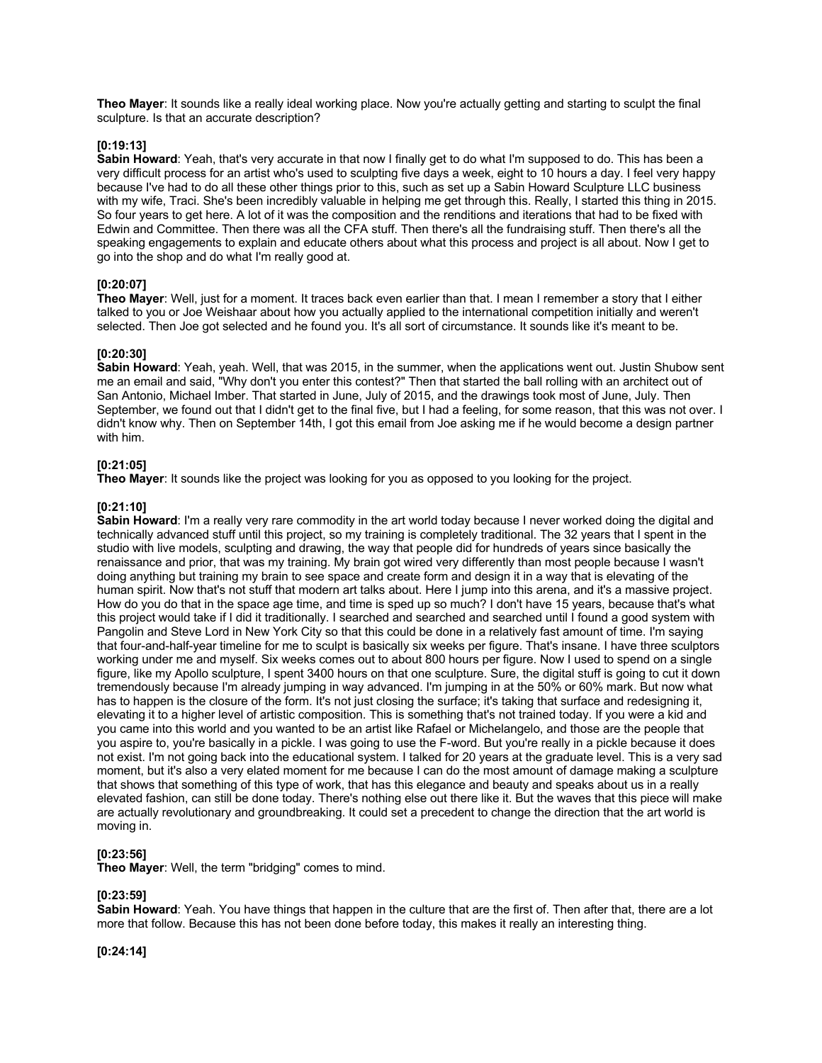**Theo Mayer**: It sounds like a really ideal working place. Now you're actually getting and starting to sculpt the final sculpture. Is that an accurate description?

### **[0:19:13]**

**Sabin Howard**: Yeah, that's very accurate in that now I finally get to do what I'm supposed to do. This has been a very difficult process for an artist who's used to sculpting five days a week, eight to 10 hours a day. I feel very happy because I've had to do all these other things prior to this, such as set up a Sabin Howard Sculpture LLC business with my wife, Traci. She's been incredibly valuable in helping me get through this. Really, I started this thing in 2015. So four years to get here. A lot of it was the composition and the renditions and iterations that had to be fixed with Edwin and Committee. Then there was all the CFA stuff. Then there's all the fundraising stuff. Then there's all the speaking engagements to explain and educate others about what this process and project is all about. Now I get to go into the shop and do what I'm really good at.

### **[0:20:07]**

**Theo Mayer**: Well, just for a moment. It traces back even earlier than that. I mean I remember a story that I either talked to you or Joe Weishaar about how you actually applied to the international competition initially and weren't selected. Then Joe got selected and he found you. It's all sort of circumstance. It sounds like it's meant to be.

## **[0:20:30]**

**Sabin Howard**: Yeah, yeah. Well, that was 2015, in the summer, when the applications went out. Justin Shubow sent me an email and said, "Why don't you enter this contest?" Then that started the ball rolling with an architect out of San Antonio, Michael Imber. That started in June, July of 2015, and the drawings took most of June, July. Then September, we found out that I didn't get to the final five, but I had a feeling, for some reason, that this was not over. I didn't know why. Then on September 14th, I got this email from Joe asking me if he would become a design partner with him.

## **[0:21:05]**

**Theo Mayer**: It sounds like the project was looking for you as opposed to you looking for the project.

### **[0:21:10]**

**Sabin Howard**: I'm a really very rare commodity in the art world today because I never worked doing the digital and technically advanced stuff until this project, so my training is completely traditional. The 32 years that I spent in the studio with live models, sculpting and drawing, the way that people did for hundreds of years since basically the renaissance and prior, that was my training. My brain got wired very differently than most people because I wasn't doing anything but training my brain to see space and create form and design it in a way that is elevating of the human spirit. Now that's not stuff that modern art talks about. Here I jump into this arena, and it's a massive project. How do you do that in the space age time, and time is sped up so much? I don't have 15 years, because that's what this project would take if I did it traditionally. I searched and searched and searched until I found a good system with Pangolin and Steve Lord in New York City so that this could be done in a relatively fast amount of time. I'm saying that four-and-half-year timeline for me to sculpt is basically six weeks per figure. That's insane. I have three sculptors working under me and myself. Six weeks comes out to about 800 hours per figure. Now I used to spend on a single figure, like my Apollo sculpture, I spent 3400 hours on that one sculpture. Sure, the digital stuff is going to cut it down tremendously because I'm already jumping in way advanced. I'm jumping in at the 50% or 60% mark. But now what has to happen is the closure of the form. It's not just closing the surface; it's taking that surface and redesigning it, elevating it to a higher level of artistic composition. This is something that's not trained today. If you were a kid and you came into this world and you wanted to be an artist like Rafael or Michelangelo, and those are the people that you aspire to, you're basically in a pickle. I was going to use the F-word. But you're really in a pickle because it does not exist. I'm not going back into the educational system. I talked for 20 years at the graduate level. This is a very sad moment, but it's also a very elated moment for me because I can do the most amount of damage making a sculpture that shows that something of this type of work, that has this elegance and beauty and speaks about us in a really elevated fashion, can still be done today. There's nothing else out there like it. But the waves that this piece will make are actually revolutionary and groundbreaking. It could set a precedent to change the direction that the art world is moving in.

# **[0:23:56]**

**Theo Mayer**: Well, the term "bridging" comes to mind.

# **[0:23:59]**

**Sabin Howard**: Yeah. You have things that happen in the culture that are the first of. Then after that, there are a lot more that follow. Because this has not been done before today, this makes it really an interesting thing.

**[0:24:14]**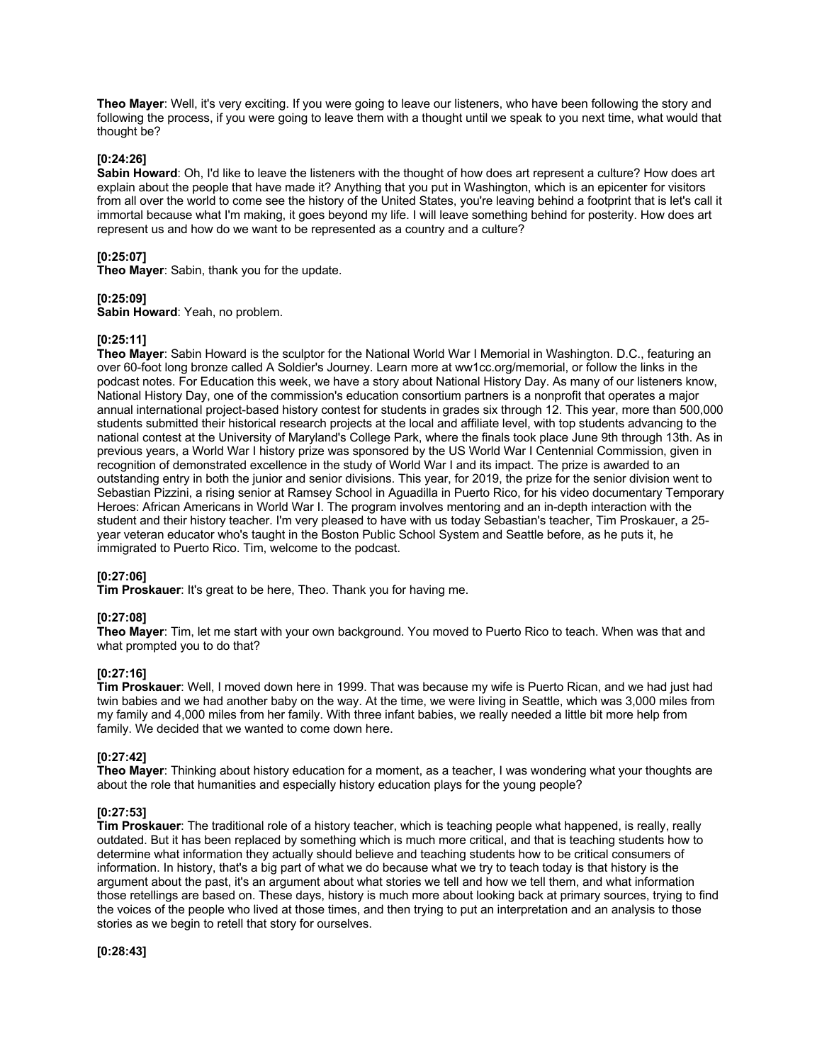**Theo Mayer**: Well, it's very exciting. If you were going to leave our listeners, who have been following the story and following the process, if you were going to leave them with a thought until we speak to you next time, what would that thought be?

#### **[0:24:26]**

**Sabin Howard**: Oh, I'd like to leave the listeners with the thought of how does art represent a culture? How does art explain about the people that have made it? Anything that you put in Washington, which is an epicenter for visitors from all over the world to come see the history of the United States, you're leaving behind a footprint that is let's call it immortal because what I'm making, it goes beyond my life. I will leave something behind for posterity. How does art represent us and how do we want to be represented as a country and a culture?

# **[0:25:07]**

**Theo Mayer**: Sabin, thank you for the update.

#### **[0:25:09]**

**Sabin Howard**: Yeah, no problem.

#### **[0:25:11]**

**Theo Mayer**: Sabin Howard is the sculptor for the National World War I Memorial in Washington. D.C., featuring an over 60-foot long bronze called A Soldier's Journey. Learn more at ww1cc.org/memorial, or follow the links in the podcast notes. For Education this week, we have a story about National History Day. As many of our listeners know, National History Day, one of the commission's education consortium partners is a nonprofit that operates a major annual international project-based history contest for students in grades six through 12. This year, more than 500,000 students submitted their historical research projects at the local and affiliate level, with top students advancing to the national contest at the University of Maryland's College Park, where the finals took place June 9th through 13th. As in previous years, a World War I history prize was sponsored by the US World War I Centennial Commission, given in recognition of demonstrated excellence in the study of World War I and its impact. The prize is awarded to an outstanding entry in both the junior and senior divisions. This year, for 2019, the prize for the senior division went to Sebastian Pizzini, a rising senior at Ramsey School in Aguadilla in Puerto Rico, for his video documentary Temporary Heroes: African Americans in World War I. The program involves mentoring and an in-depth interaction with the student and their history teacher. I'm very pleased to have with us today Sebastian's teacher, Tim Proskauer, a 25 year veteran educator who's taught in the Boston Public School System and Seattle before, as he puts it, he immigrated to Puerto Rico. Tim, welcome to the podcast.

#### **[0:27:06]**

**Tim Proskauer**: It's great to be here, Theo. Thank you for having me.

### **[0:27:08]**

**Theo Mayer**: Tim, let me start with your own background. You moved to Puerto Rico to teach. When was that and what prompted you to do that?

# **[0:27:16]**

**Tim Proskauer**: Well, I moved down here in 1999. That was because my wife is Puerto Rican, and we had just had twin babies and we had another baby on the way. At the time, we were living in Seattle, which was 3,000 miles from my family and 4,000 miles from her family. With three infant babies, we really needed a little bit more help from family. We decided that we wanted to come down here.

### **[0:27:42]**

**Theo Mayer**: Thinking about history education for a moment, as a teacher, I was wondering what your thoughts are about the role that humanities and especially history education plays for the young people?

### **[0:27:53]**

**Tim Proskauer**: The traditional role of a history teacher, which is teaching people what happened, is really, really outdated. But it has been replaced by something which is much more critical, and that is teaching students how to determine what information they actually should believe and teaching students how to be critical consumers of information. In history, that's a big part of what we do because what we try to teach today is that history is the argument about the past, it's an argument about what stories we tell and how we tell them, and what information those retellings are based on. These days, history is much more about looking back at primary sources, trying to find the voices of the people who lived at those times, and then trying to put an interpretation and an analysis to those stories as we begin to retell that story for ourselves.

**[0:28:43]**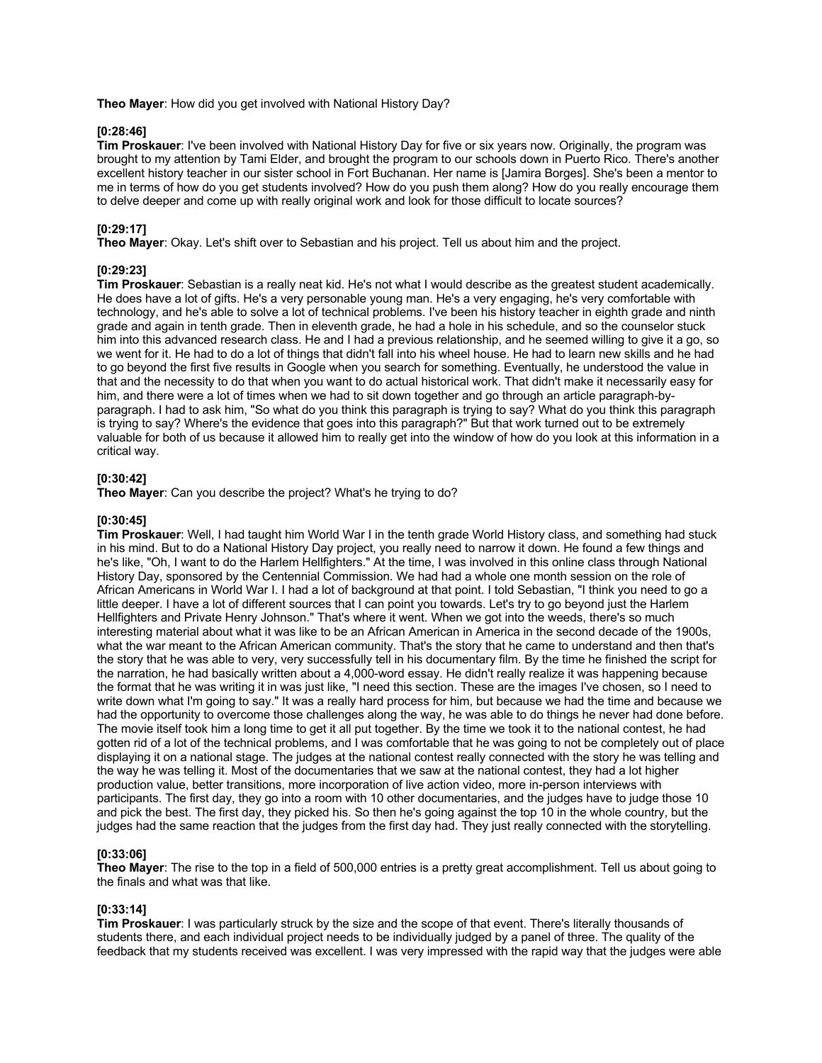**Theo Mayer**: How did you get involved with National History Day?

## **[0:28:46]**

**Tim Proskauer**: I've been involved with National History Day for five or six years now. Originally, the program was brought to my attention by Tami Elder, and brought the program to our schools down in Puerto Rico. There's another excellent history teacher in our sister school in Fort Buchanan. Her name is [Jamira Borges]. She's been a mentor to me in terms of how do you get students involved? How do you push them along? How do you really encourage them to delve deeper and come up with really original work and look for those difficult to locate sources?

# **[0:29:17]**

**Theo Mayer**: Okay. Let's shift over to Sebastian and his project. Tell us about him and the project.

# **[0:29:23]**

**Tim Proskauer**: Sebastian is a really neat kid. He's not what I would describe as the greatest student academically. He does have a lot of gifts. He's a very personable young man. He's a very engaging, he's very comfortable with technology, and he's able to solve a lot of technical problems. I've been his history teacher in eighth grade and ninth grade and again in tenth grade. Then in eleventh grade, he had a hole in his schedule, and so the counselor stuck him into this advanced research class. He and I had a previous relationship, and he seemed willing to give it a go, so we went for it. He had to do a lot of things that didn't fall into his wheel house. He had to learn new skills and he had to go beyond the first five results in Google when you search for something. Eventually, he understood the value in that and the necessity to do that when you want to do actual historical work. That didn't make it necessarily easy for him, and there were a lot of times when we had to sit down together and go through an article paragraph-byparagraph. I had to ask him, "So what do you think this paragraph is trying to say? What do you think this paragraph is trying to say? Where's the evidence that goes into this paragraph?" But that work turned out to be extremely valuable for both of us because it allowed him to really get into the window of how do you look at this information in a critical way.

## **[0:30:42]**

**Theo Mayer**: Can you describe the project? What's he trying to do?

# **[0:30:45]**

**Tim Proskauer**: Well, I had taught him World War I in the tenth grade World History class, and something had stuck in his mind. But to do a National History Day project, you really need to narrow it down. He found a few things and he's like, "Oh, I want to do the Harlem Hellfighters." At the time, I was involved in this online class through National History Day, sponsored by the Centennial Commission. We had had a whole one month session on the role of African Americans in World War I. I had a lot of background at that point. I told Sebastian, "I think you need to go a little deeper. I have a lot of different sources that I can point you towards. Let's try to go beyond just the Harlem Hellfighters and Private Henry Johnson." That's where it went. When we got into the weeds, there's so much interesting material about what it was like to be an African American in America in the second decade of the 1900s, what the war meant to the African American community. That's the story that he came to understand and then that's the story that he was able to very, very successfully tell in his documentary film. By the time he finished the script for the narration, he had basically written about a 4,000-word essay. He didn't really realize it was happening because the format that he was writing it in was just like, "I need this section. These are the images I've chosen, so I need to write down what I'm going to say." It was a really hard process for him, but because we had the time and because we had the opportunity to overcome those challenges along the way, he was able to do things he never had done before. The movie itself took him a long time to get it all put together. By the time we took it to the national contest, he had gotten rid of a lot of the technical problems, and I was comfortable that he was going to not be completely out of place displaying it on a national stage. The judges at the national contest really connected with the story he was telling and the way he was telling it. Most of the documentaries that we saw at the national contest, they had a lot higher production value, better transitions, more incorporation of live action video, more in-person interviews with participants. The first day, they go into a room with 10 other documentaries, and the judges have to judge those 10 and pick the best. The first day, they picked his. So then he's going against the top 10 in the whole country, but the judges had the same reaction that the judges from the first day had. They just really connected with the storytelling.

### **[0:33:06]**

**Theo Mayer**: The rise to the top in a field of 500,000 entries is a pretty great accomplishment. Tell us about going to the finals and what was that like.

### **[0:33:14]**

**Tim Proskauer**: I was particularly struck by the size and the scope of that event. There's literally thousands of students there, and each individual project needs to be individually judged by a panel of three. The quality of the feedback that my students received was excellent. I was very impressed with the rapid way that the judges were able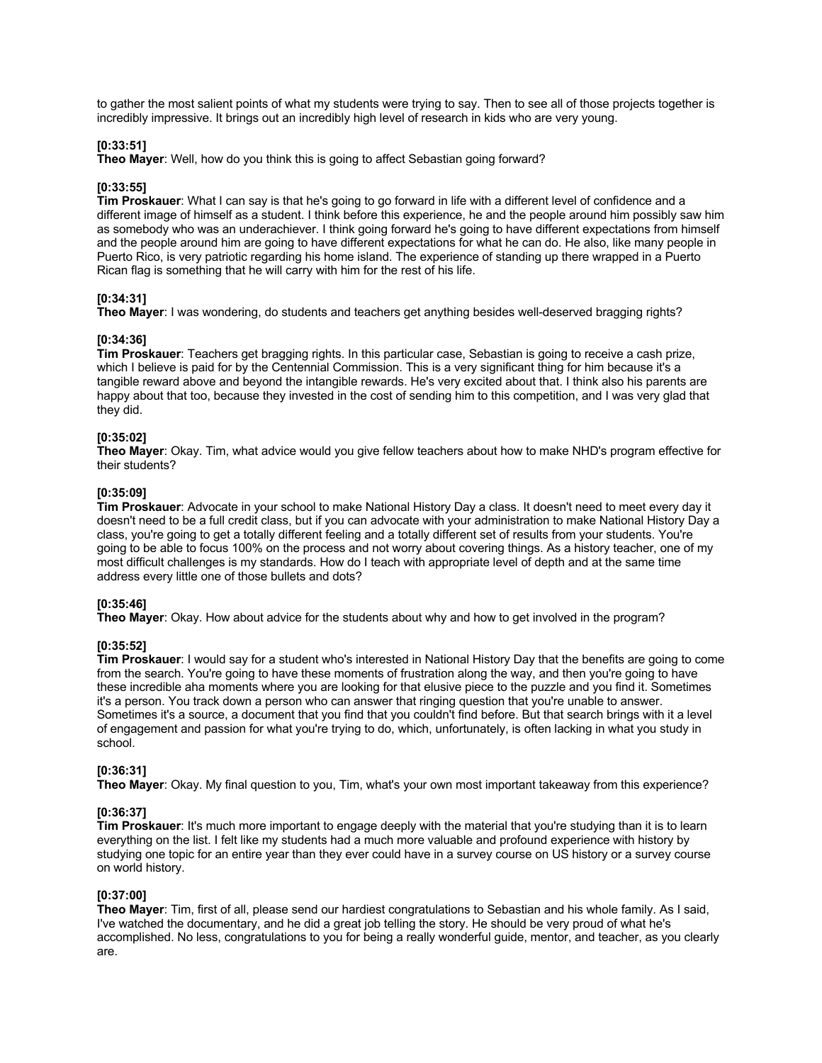to gather the most salient points of what my students were trying to say. Then to see all of those projects together is incredibly impressive. It brings out an incredibly high level of research in kids who are very young.

### **[0:33:51]**

**Theo Mayer**: Well, how do you think this is going to affect Sebastian going forward?

#### **[0:33:55]**

**Tim Proskauer**: What I can say is that he's going to go forward in life with a different level of confidence and a different image of himself as a student. I think before this experience, he and the people around him possibly saw him as somebody who was an underachiever. I think going forward he's going to have different expectations from himself and the people around him are going to have different expectations for what he can do. He also, like many people in Puerto Rico, is very patriotic regarding his home island. The experience of standing up there wrapped in a Puerto Rican flag is something that he will carry with him for the rest of his life.

#### **[0:34:31]**

**Theo Mayer**: I was wondering, do students and teachers get anything besides well-deserved bragging rights?

#### **[0:34:36]**

**Tim Proskauer**: Teachers get bragging rights. In this particular case, Sebastian is going to receive a cash prize, which I believe is paid for by the Centennial Commission. This is a very significant thing for him because it's a tangible reward above and beyond the intangible rewards. He's very excited about that. I think also his parents are happy about that too, because they invested in the cost of sending him to this competition, and I was very glad that they did.

### **[0:35:02]**

**Theo Mayer**: Okay. Tim, what advice would you give fellow teachers about how to make NHD's program effective for their students?

#### **[0:35:09]**

**Tim Proskauer**: Advocate in your school to make National History Day a class. It doesn't need to meet every day it doesn't need to be a full credit class, but if you can advocate with your administration to make National History Day a class, you're going to get a totally different feeling and a totally different set of results from your students. You're going to be able to focus 100% on the process and not worry about covering things. As a history teacher, one of my most difficult challenges is my standards. How do I teach with appropriate level of depth and at the same time address every little one of those bullets and dots?

#### **[0:35:46]**

**Theo Mayer**: Okay. How about advice for the students about why and how to get involved in the program?

### **[0:35:52]**

**Tim Proskauer**: I would say for a student who's interested in National History Day that the benefits are going to come from the search. You're going to have these moments of frustration along the way, and then you're going to have these incredible aha moments where you are looking for that elusive piece to the puzzle and you find it. Sometimes it's a person. You track down a person who can answer that ringing question that you're unable to answer. Sometimes it's a source, a document that you find that you couldn't find before. But that search brings with it a level of engagement and passion for what you're trying to do, which, unfortunately, is often lacking in what you study in school.

#### **[0:36:31]**

**Theo Mayer**: Okay. My final question to you, Tim, what's your own most important takeaway from this experience?

#### **[0:36:37]**

**Tim Proskauer**: It's much more important to engage deeply with the material that you're studying than it is to learn everything on the list. I felt like my students had a much more valuable and profound experience with history by studying one topic for an entire year than they ever could have in a survey course on US history or a survey course on world history.

#### **[0:37:00]**

**Theo Mayer**: Tim, first of all, please send our hardiest congratulations to Sebastian and his whole family. As I said, I've watched the documentary, and he did a great job telling the story. He should be very proud of what he's accomplished. No less, congratulations to you for being a really wonderful guide, mentor, and teacher, as you clearly are.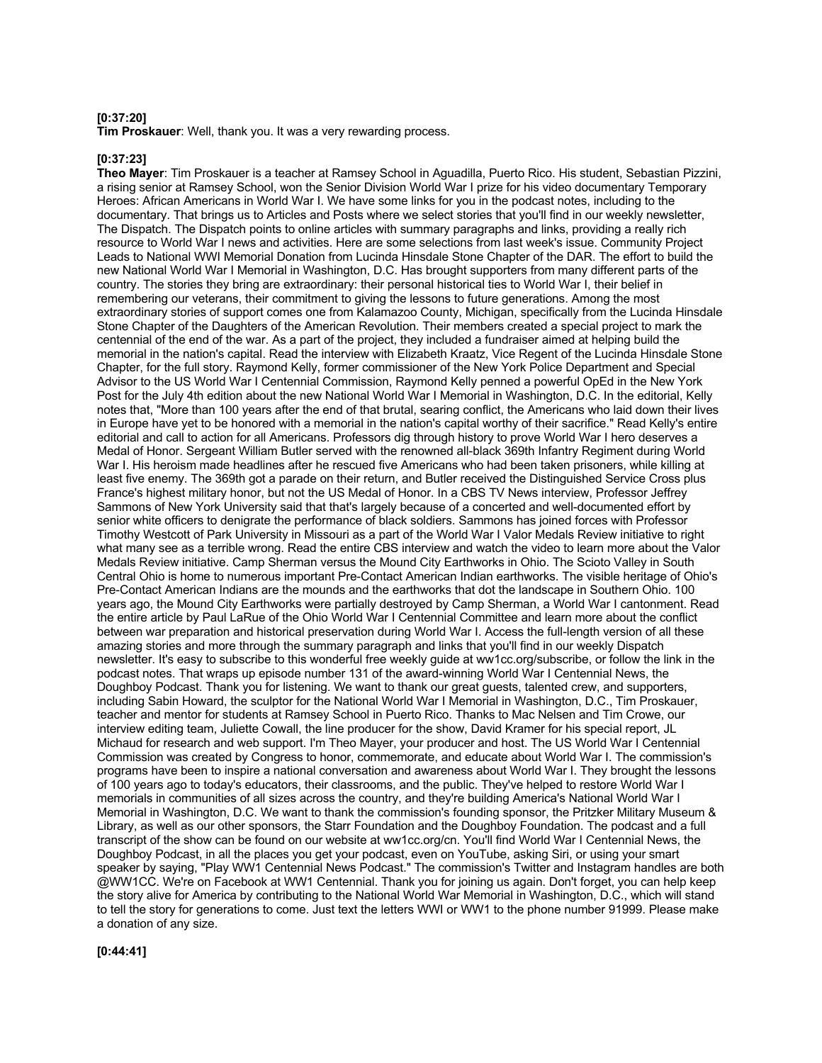#### **[0:37:20]**

**Tim Proskauer**: Well, thank you. It was a very rewarding process.

#### **[0:37:23]**

**Theo Mayer**: Tim Proskauer is a teacher at Ramsey School in Aguadilla, Puerto Rico. His student, Sebastian Pizzini, a rising senior at Ramsey School, won the Senior Division World War I prize for his video documentary Temporary Heroes: African Americans in World War I. We have some links for you in the podcast notes, including to the documentary. That brings us to Articles and Posts where we select stories that you'll find in our weekly newsletter, The Dispatch. The Dispatch points to online articles with summary paragraphs and links, providing a really rich resource to World War I news and activities. Here are some selections from last week's issue. Community Project Leads to National WWI Memorial Donation from Lucinda Hinsdale Stone Chapter of the DAR. The effort to build the new National World War I Memorial in Washington, D.C. Has brought supporters from many different parts of the country. The stories they bring are extraordinary: their personal historical ties to World War I, their belief in remembering our veterans, their commitment to giving the lessons to future generations. Among the most extraordinary stories of support comes one from Kalamazoo County, Michigan, specifically from the Lucinda Hinsdale Stone Chapter of the Daughters of the American Revolution. Their members created a special project to mark the centennial of the end of the war. As a part of the project, they included a fundraiser aimed at helping build the memorial in the nation's capital. Read the interview with Elizabeth Kraatz, Vice Regent of the Lucinda Hinsdale Stone Chapter, for the full story. Raymond Kelly, former commissioner of the New York Police Department and Special Advisor to the US World War I Centennial Commission, Raymond Kelly penned a powerful OpEd in the New York Post for the July 4th edition about the new National World War I Memorial in Washington, D.C. In the editorial, Kelly notes that, "More than 100 years after the end of that brutal, searing conflict, the Americans who laid down their lives in Europe have yet to be honored with a memorial in the nation's capital worthy of their sacrifice." Read Kelly's entire editorial and call to action for all Americans. Professors dig through history to prove World War I hero deserves a Medal of Honor. Sergeant William Butler served with the renowned all-black 369th Infantry Regiment during World War I. His heroism made headlines after he rescued five Americans who had been taken prisoners, while killing at least five enemy. The 369th got a parade on their return, and Butler received the Distinguished Service Cross plus France's highest military honor, but not the US Medal of Honor. In a CBS TV News interview, Professor Jeffrey Sammons of New York University said that that's largely because of a concerted and well-documented effort by senior white officers to denigrate the performance of black soldiers. Sammons has joined forces with Professor Timothy Westcott of Park University in Missouri as a part of the World War I Valor Medals Review initiative to right what many see as a terrible wrong. Read the entire CBS interview and watch the video to learn more about the Valor Medals Review initiative. Camp Sherman versus the Mound City Earthworks in Ohio. The Scioto Valley in South Central Ohio is home to numerous important Pre-Contact American Indian earthworks. The visible heritage of Ohio's Pre-Contact American Indians are the mounds and the earthworks that dot the landscape in Southern Ohio. 100 years ago, the Mound City Earthworks were partially destroyed by Camp Sherman, a World War I cantonment. Read the entire article by Paul LaRue of the Ohio World War I Centennial Committee and learn more about the conflict between war preparation and historical preservation during World War I. Access the full-length version of all these amazing stories and more through the summary paragraph and links that you'll find in our weekly Dispatch newsletter. It's easy to subscribe to this wonderful free weekly guide at ww1cc.org/subscribe, or follow the link in the podcast notes. That wraps up episode number 131 of the award-winning World War I Centennial News, the Doughboy Podcast. Thank you for listening. We want to thank our great guests, talented crew, and supporters, including Sabin Howard, the sculptor for the National World War I Memorial in Washington, D.C., Tim Proskauer, teacher and mentor for students at Ramsey School in Puerto Rico. Thanks to Mac Nelsen and Tim Crowe, our interview editing team, Juliette Cowall, the line producer for the show, David Kramer for his special report, JL Michaud for research and web support. I'm Theo Mayer, your producer and host. The US World War I Centennial Commission was created by Congress to honor, commemorate, and educate about World War I. The commission's programs have been to inspire a national conversation and awareness about World War I. They brought the lessons of 100 years ago to today's educators, their classrooms, and the public. They've helped to restore World War I memorials in communities of all sizes across the country, and they're building America's National World War I Memorial in Washington, D.C. We want to thank the commission's founding sponsor, the Pritzker Military Museum & Library, as well as our other sponsors, the Starr Foundation and the Doughboy Foundation. The podcast and a full transcript of the show can be found on our website at ww1cc.org/cn. You'll find World War I Centennial News, the Doughboy Podcast, in all the places you get your podcast, even on YouTube, asking Siri, or using your smart speaker by saying, "Play WW1 Centennial News Podcast." The commission's Twitter and Instagram handles are both @WW1CC. We're on Facebook at WW1 Centennial. Thank you for joining us again. Don't forget, you can help keep the story alive for America by contributing to the National World War Memorial in Washington, D.C., which will stand to tell the story for generations to come. Just text the letters WWI or WW1 to the phone number 91999. Please make a donation of any size.

**[0:44:41]**